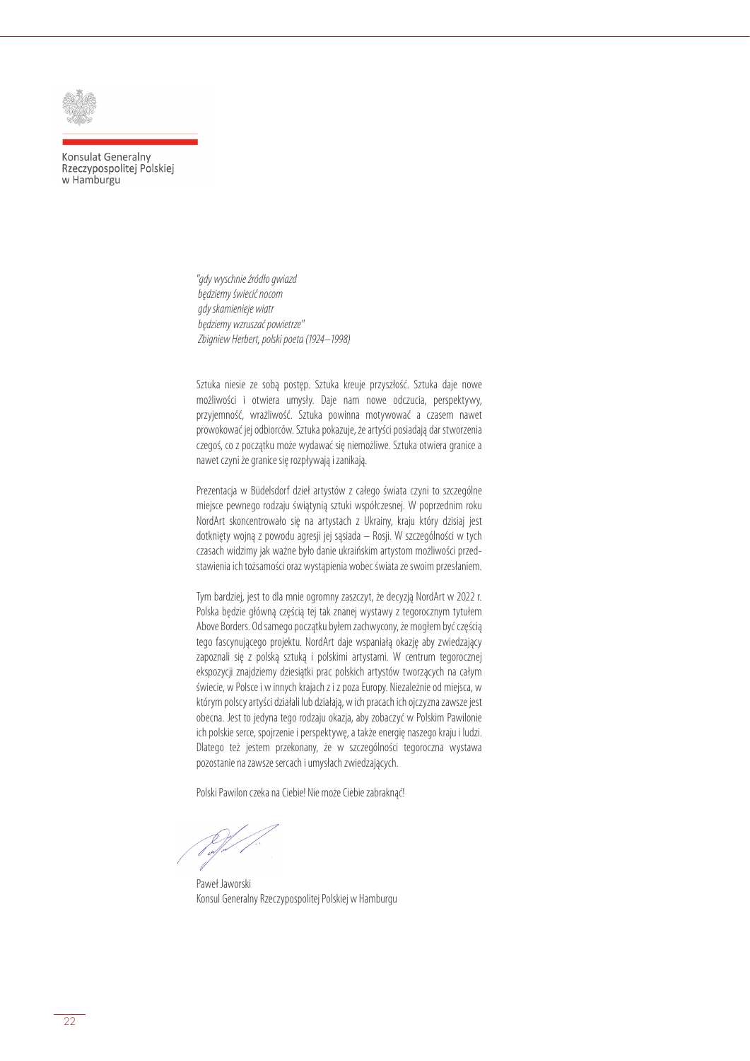

Konsulat Generalny Rzeczypospolitej Polskiej w Hamburgu

> *"gdy wyschnie źródło gwiazd będziemy świecić nocom gdy skamienieje wiatr będziemy wzruszać powietrze" Zbigniew Herbert, polski poeta (1924–1998)*

Sztuka niesie ze sobą postęp. Sztuka kreuje przyszłość. Sztuka daje nowe możliwości i otwiera umysły. Daje nam nowe odczucia, perspektywy, przyjemność, wrażliwość. Sztuka powinna motywować a czasem nawet prowokować jej odbiorców. Sztuka pokazuje, że artyści posiadają dar stworzenia czegoś, co z początku może wydawać się niemożliwe. Sztuka otwiera granice a nawet czyni że granice się rozpływają i zanikają.

Prezentacja w Büdelsdorf dzieł artystów z całego świata czyni to szczególne miejsce pewnego rodzaju świątynią sztuki współczesnej. W poprzednim roku NordArt skoncentrowało się na artystach z Ukrainy, kraju który dzisiaj jest dotknięty wojną z powodu agresji jej sąsiada – Rosji. W szczególności w tych czasach widzimy jak ważne było danie ukraińskim artystom możliwości przedstawienia ich tożsamości oraz wystąpienia wobec świata ze swoim przesłaniem.

Tym bardziej, jest to dla mnie ogromny zaszczyt, że decyzją NordArt w 2022 r. Polska będzie główną częścią tej tak znanej wystawy z tegorocznym tytułem Above Borders. Od samego początku byłem zachwycony, że mogłem być częścią tego fascynującego projektu. NordArt daje wspaniałą okazję aby zwiedzający zapoznali się z polską sztuką i polskimi artystami. W centrum tegorocznej ekspozycji znajdziemy dziesiątki prac polskich artystów tworzących na całym świecie, w Polsce i w innych krajach z i z poza Europy. Niezależnie od miejsca, w którym polscy artyści działali lub działają, w ich pracach ich ojczyzna zawsze jest obecna. Jest to jedyna tego rodzaju okazja, aby zobaczyć w Polskim Pawilonie ich polskie serce, spojrzenie i perspektywę, a także energię naszego kraju i ludzi. Dlatego też jestem przekonany, że w szczególności tegoroczna wystawa pozostanie na zawsze sercach i umysłach zwiedzających.

Polski Pawilon czeka na Ciebie! Nie może Ciebie zabraknąć!

Paweł Jaworski Konsul Generalny Rzeczypospolitej Polskiej w Hamburgu